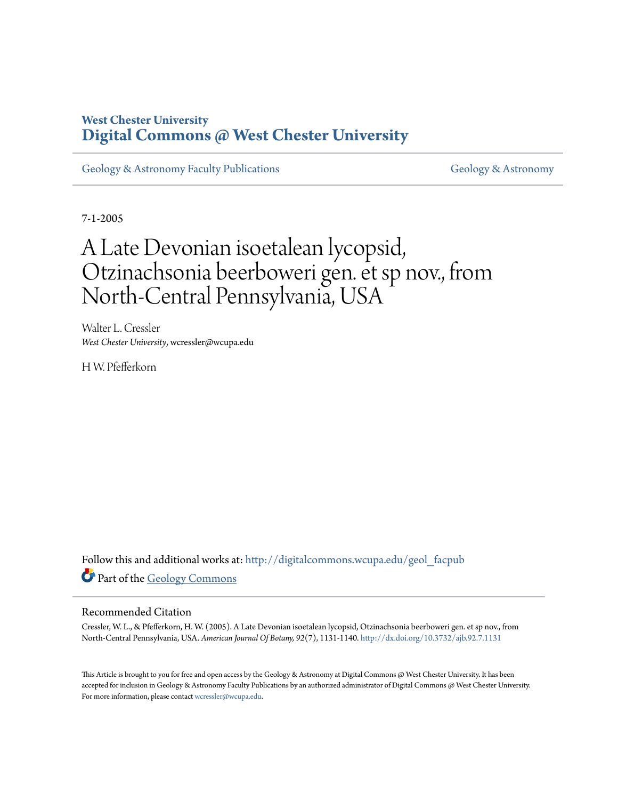## **West Chester University [Digital Commons @ West Chester University](http://digitalcommons.wcupa.edu?utm_source=digitalcommons.wcupa.edu%2Fgeol_facpub%2F5&utm_medium=PDF&utm_campaign=PDFCoverPages)**

[Geology & Astronomy Faculty Publications](http://digitalcommons.wcupa.edu/geol_facpub?utm_source=digitalcommons.wcupa.edu%2Fgeol_facpub%2F5&utm_medium=PDF&utm_campaign=PDFCoverPages) [Geology & Astronomy](http://digitalcommons.wcupa.edu/geol?utm_source=digitalcommons.wcupa.edu%2Fgeol_facpub%2F5&utm_medium=PDF&utm_campaign=PDFCoverPages)

7-1-2005

# A Late Devonian isoetalean lycopsid, Otzinachsonia beerboweri gen. et sp nov., from North-Central Pennsylvania, USA

Walter L. Cressler *West Chester University*, wcressler@wcupa.edu

H W. Pfefferkorn

Follow this and additional works at: [http://digitalcommons.wcupa.edu/geol\\_facpub](http://digitalcommons.wcupa.edu/geol_facpub?utm_source=digitalcommons.wcupa.edu%2Fgeol_facpub%2F5&utm_medium=PDF&utm_campaign=PDFCoverPages) Part of the [Geology Commons](http://network.bepress.com/hgg/discipline/156?utm_source=digitalcommons.wcupa.edu%2Fgeol_facpub%2F5&utm_medium=PDF&utm_campaign=PDFCoverPages)

### Recommended Citation

Cressler, W. L., & Pfefferkorn, H. W. (2005). A Late Devonian isoetalean lycopsid, Otzinachsonia beerboweri gen. et sp nov., from North-Central Pennsylvania, USA. *American Journal Of Botany, 92*(7), 1131-1140. <http://dx.doi.org/10.3732/ajb.92.7.1131>

This Article is brought to you for free and open access by the Geology & Astronomy at Digital Commons @ West Chester University. It has been accepted for inclusion in Geology & Astronomy Faculty Publications by an authorized administrator of Digital Commons @ West Chester University. For more information, please contact [wcressler@wcupa.edu](mailto:wcressler@wcupa.edu).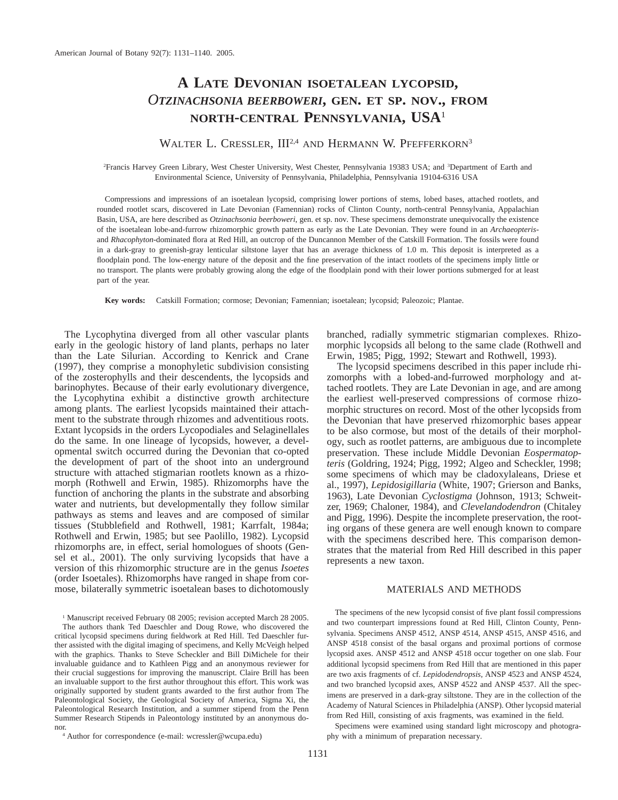# **A LATE DEVONIAN ISOETALEAN LYCOPSID,** *OTZINACHSONIA BEERBOWERI***, GEN. ET SP. NOV., FROM NORTH-CENTRAL PENNSYLVANIA, USA**<sup>1</sup>

## WALTER L. CRESSLER, III<sup>2,4</sup> AND HERMANN W. PFEFFERKORN<sup>3</sup>

#### 2 Francis Harvey Green Library, West Chester University, West Chester, Pennsylvania 19383 USA; and <sup>3</sup> Department of Earth and Environmental Science, University of Pennsylvania, Philadelphia, Pennsylvania 19104-6316 USA

Compressions and impressions of an isoetalean lycopsid, comprising lower portions of stems, lobed bases, attached rootlets, and rounded rootlet scars, discovered in Late Devonian (Famennian) rocks of Clinton County, north-central Pennsylvania, Appalachian Basin, USA, are here described as *Otzinachsonia beerboweri*, gen. et sp. nov. These specimens demonstrate unequivocally the existence of the isoetalean lobe-and-furrow rhizomorphic growth pattern as early as the Late Devonian. They were found in an *Archaeopteris*and *Rhacophyton*-dominated flora at Red Hill, an outcrop of the Duncannon Member of the Catskill Formation. The fossils were found in a dark-gray to greenish-gray lenticular siltstone layer that has an average thickness of 1.0 m. This deposit is interpreted as a floodplain pond. The low-energy nature of the deposit and the fine preservation of the intact rootlets of the specimens imply little or no transport. The plants were probably growing along the edge of the floodplain pond with their lower portions submerged for at least part of the year.

**Key words:** Catskill Formation; cormose; Devonian; Famennian; isoetalean; lycopsid; Paleozoic; Plantae.

The Lycophytina diverged from all other vascular plants early in the geologic history of land plants, perhaps no later than the Late Silurian. According to Kenrick and Crane (1997), they comprise a monophyletic subdivision consisting of the zosterophylls and their descendents, the lycopsids and barinophytes. Because of their early evolutionary divergence, the Lycophytina exhibit a distinctive growth architecture among plants. The earliest lycopsids maintained their attachment to the substrate through rhizomes and adventitious roots. Extant lycopsids in the orders Lycopodiales and Selaginellales do the same. In one lineage of lycopsids, however, a developmental switch occurred during the Devonian that co-opted the development of part of the shoot into an underground structure with attached stigmarian rootlets known as a rhizomorph (Rothwell and Erwin, 1985). Rhizomorphs have the function of anchoring the plants in the substrate and absorbing water and nutrients, but developmentally they follow similar pathways as stems and leaves and are composed of similar tissues (Stubblefield and Rothwell, 1981; Karrfalt, 1984a; Rothwell and Erwin, 1985; but see Paolillo, 1982). Lycopsid rhizomorphs are, in effect, serial homologues of shoots (Gensel et al., 2001). The only surviving lycopsids that have a version of this rhizomorphic structure are in the genus *Isoetes* (order Isoetales). Rhizomorphs have ranged in shape from cormose, bilaterally symmetric isoetalean bases to dichotomously

<sup>1</sup> Manuscript received February 08 2005; revision accepted March 28 2005. The authors thank Ted Daeschler and Doug Rowe, who discovered the critical lycopsid specimens during fieldwork at Red Hill. Ted Daeschler further assisted with the digital imaging of specimens, and Kelly McVeigh helped with the graphics. Thanks to Steve Scheckler and Bill DiMichele for their invaluable guidance and to Kathleen Pigg and an anonymous reviewer for their crucial suggestions for improving the manuscript. Claire Brill has been an invaluable support to the first author throughout this effort. This work was originally supported by student grants awarded to the first author from The Paleontological Society, the Geological Society of America, Sigma Xi, the Paleontological Research Institution, and a summer stipend from the Penn Summer Research Stipends in Paleontology instituted by an anonymous do-

nor.<br><sup>4</sup> Author for correspondence (e-mail: wcressler@wcupa.edu)

branched, radially symmetric stigmarian complexes. Rhizomorphic lycopsids all belong to the same clade (Rothwell and Erwin, 1985; Pigg, 1992; Stewart and Rothwell, 1993).

The lycopsid specimens described in this paper include rhizomorphs with a lobed-and-furrowed morphology and attached rootlets. They are Late Devonian in age, and are among the earliest well-preserved compressions of cormose rhizomorphic structures on record. Most of the other lycopsids from the Devonian that have preserved rhizomorphic bases appear to be also cormose, but most of the details of their morphology, such as rootlet patterns, are ambiguous due to incomplete preservation. These include Middle Devonian *Eospermatopteris* (Goldring, 1924; Pigg, 1992; Algeo and Scheckler, 1998; some specimens of which may be cladoxylaleans, Driese et al., 1997), *Lepidosigillaria* (White, 1907; Grierson and Banks, 1963), Late Devonian *Cyclostigma* (Johnson, 1913; Schweitzer, 1969; Chaloner, 1984), and *Clevelandodendron* (Chitaley and Pigg, 1996). Despite the incomplete preservation, the rooting organs of these genera are well enough known to compare with the specimens described here. This comparison demonstrates that the material from Red Hill described in this paper represents a new taxon.

#### MATERIALS AND METHODS

The specimens of the new lycopsid consist of five plant fossil compressions and two counterpart impressions found at Red Hill, Clinton County, Pennsylvania. Specimens ANSP 4512, ANSP 4514, ANSP 4515, ANSP 4516, and ANSP 4518 consist of the basal organs and proximal portions of cormose lycopsid axes. ANSP 4512 and ANSP 4518 occur together on one slab. Four additional lycopsid specimens from Red Hill that are mentioned in this paper are two axis fragments of cf. *Lepidodendropsis*, ANSP 4523 and ANSP 4524, and two branched lycopsid axes, ANSP 4522 and ANSP 4537. All the specimens are preserved in a dark-gray siltstone. They are in the collection of the Academy of Natural Sciences in Philadelphia (ANSP). Other lycopsid material from Red Hill, consisting of axis fragments, was examined in the field.

Specimens were examined using standard light microscopy and photography with a minimum of preparation necessary.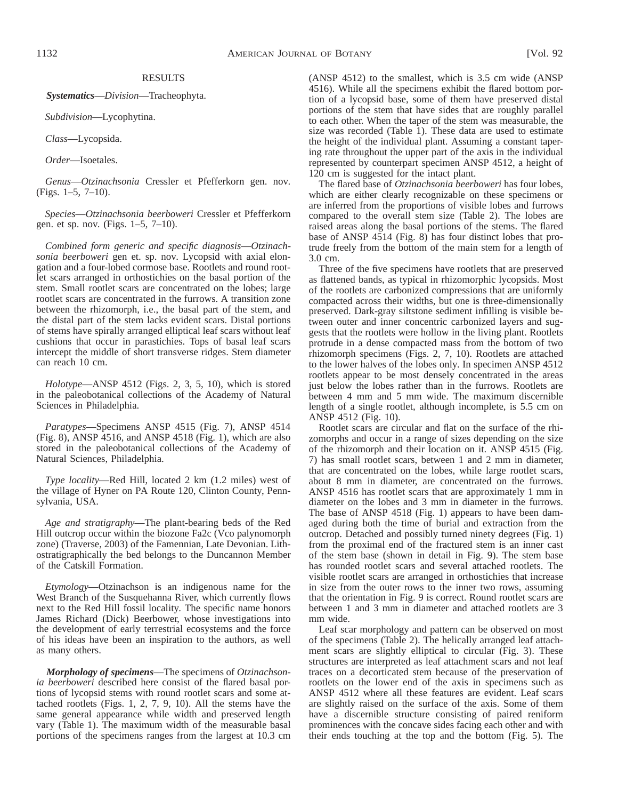#### RESULTS

*Systematics*—*Division*—Tracheophyta.

*Subdivision*—Lycophytina.

*Class*—Lycopsida.

*Order*—Isoetales.

*Genus*—*Otzinachsonia* Cressler et Pfefferkorn gen. nov. (Figs. 1–5, 7–10).

*Species*—*Otzinachsonia beerboweri* Cressler et Pfefferkorn gen. et sp. nov. (Figs. 1–5, 7–10).

*Combined form generic and specific diagnosis*—*Otzinachsonia beerboweri* gen et. sp. nov. Lycopsid with axial elongation and a four-lobed cormose base. Rootlets and round rootlet scars arranged in orthostichies on the basal portion of the stem. Small rootlet scars are concentrated on the lobes; large rootlet scars are concentrated in the furrows. A transition zone between the rhizomorph, i.e., the basal part of the stem, and the distal part of the stem lacks evident scars. Distal portions of stems have spirally arranged elliptical leaf scars without leaf cushions that occur in parastichies. Tops of basal leaf scars intercept the middle of short transverse ridges. Stem diameter can reach 10 cm.

*Holotype*—ANSP 4512 (Figs. 2, 3, 5, 10), which is stored in the paleobotanical collections of the Academy of Natural Sciences in Philadelphia.

*Paratypes*—Specimens ANSP 4515 (Fig. 7), ANSP 4514 (Fig. 8), ANSP 4516, and ANSP 4518 (Fig. 1), which are also stored in the paleobotanical collections of the Academy of Natural Sciences, Philadelphia.

*Type locality*—Red Hill, located 2 km (1.2 miles) west of the village of Hyner on PA Route 120, Clinton County, Pennsylvania, USA.

*Age and stratigraphy*—The plant-bearing beds of the Red Hill outcrop occur within the biozone Fa2c (Vco palynomorph zone) (Traverse, 2003) of the Famennian, Late Devonian. Lithostratigraphically the bed belongs to the Duncannon Member of the Catskill Formation.

*Etymology*—Otzinachson is an indigenous name for the West Branch of the Susquehanna River, which currently flows next to the Red Hill fossil locality. The specific name honors James Richard (Dick) Beerbower, whose investigations into the development of early terrestrial ecosystems and the force of his ideas have been an inspiration to the authors, as well as many others.

*Morphology of specimens*—The specimens of *Otzinachsonia beerboweri* described here consist of the flared basal portions of lycopsid stems with round rootlet scars and some attached rootlets (Figs. 1, 2, 7, 9, 10). All the stems have the same general appearance while width and preserved length vary (Table 1). The maximum width of the measurable basal portions of the specimens ranges from the largest at 10.3 cm (ANSP 4512) to the smallest, which is 3.5 cm wide (ANSP 4516). While all the specimens exhibit the flared bottom portion of a lycopsid base, some of them have preserved distal portions of the stem that have sides that are roughly parallel to each other. When the taper of the stem was measurable, the size was recorded (Table  $\overline{1}$ ). These data are used to estimate the height of the individual plant. Assuming a constant tapering rate throughout the upper part of the axis in the individual represented by counterpart specimen ANSP 4512, a height of 120 cm is suggested for the intact plant.

The flared base of *Otzinachsonia beerboweri* has four lobes, which are either clearly recognizable on these specimens or are inferred from the proportions of visible lobes and furrows compared to the overall stem size (Table 2). The lobes are raised areas along the basal portions of the stems. The flared base of ANSP 4514 (Fig. 8) has four distinct lobes that protrude freely from the bottom of the main stem for a length of 3.0 cm.

Three of the five specimens have rootlets that are preserved as flattened bands, as typical in rhizomorphic lycopsids. Most of the rootlets are carbonized compressions that are uniformly compacted across their widths, but one is three-dimensionally preserved. Dark-gray siltstone sediment infilling is visible between outer and inner concentric carbonized layers and suggests that the rootlets were hollow in the living plant. Rootlets protrude in a dense compacted mass from the bottom of two rhizomorph specimens (Figs. 2, 7, 10). Rootlets are attached to the lower halves of the lobes only. In specimen ANSP 4512 rootlets appear to be most densely concentrated in the areas just below the lobes rather than in the furrows. Rootlets are between 4 mm and 5 mm wide. The maximum discernible length of a single rootlet, although incomplete, is 5.5 cm on ANSP 4512 (Fig. 10).

Rootlet scars are circular and flat on the surface of the rhizomorphs and occur in a range of sizes depending on the size of the rhizomorph and their location on it. ANSP 4515 (Fig. 7) has small rootlet scars, between 1 and 2 mm in diameter, that are concentrated on the lobes, while large rootlet scars, about 8 mm in diameter, are concentrated on the furrows. ANSP 4516 has rootlet scars that are approximately 1 mm in diameter on the lobes and 3 mm in diameter in the furrows. The base of ANSP 4518 (Fig. 1) appears to have been damaged during both the time of burial and extraction from the outcrop. Detached and possibly turned ninety degrees (Fig. 1) from the proximal end of the fractured stem is an inner cast of the stem base (shown in detail in Fig. 9). The stem base has rounded rootlet scars and several attached rootlets. The visible rootlet scars are arranged in orthostichies that increase in size from the outer rows to the inner two rows, assuming that the orientation in Fig. 9 is correct. Round rootlet scars are between 1 and 3 mm in diameter and attached rootlets are 3 mm wide.

Leaf scar morphology and pattern can be observed on most of the specimens (Table 2). The helically arranged leaf attachment scars are slightly elliptical to circular (Fig. 3). These structures are interpreted as leaf attachment scars and not leaf traces on a decorticated stem because of the preservation of rootlets on the lower end of the axis in specimens such as ANSP 4512 where all these features are evident. Leaf scars are slightly raised on the surface of the axis. Some of them have a discernible structure consisting of paired reniform prominences with the concave sides facing each other and with their ends touching at the top and the bottom (Fig. 5). The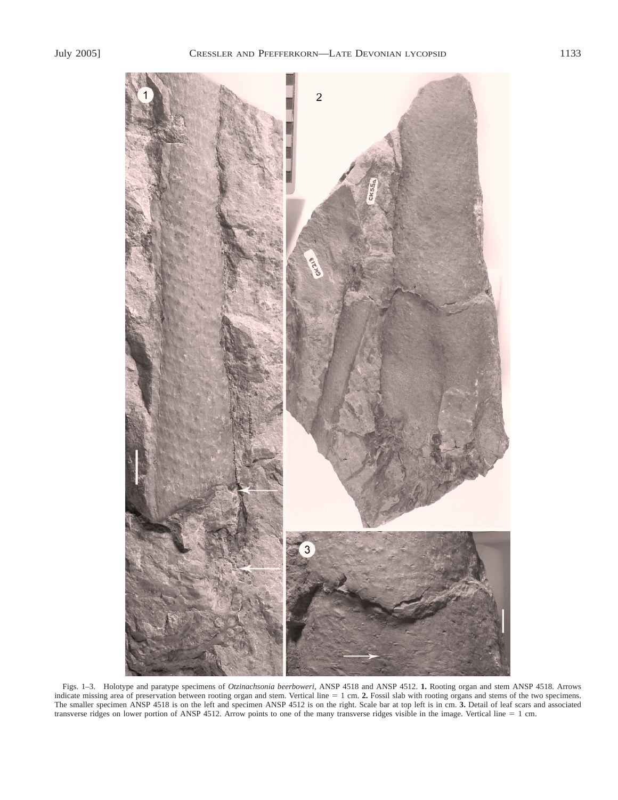

Figs. 1–3. Holotype and paratype specimens of *Otzinachsonia beerboweri*, ANSP 4518 and ANSP 4512. **1.** Rooting organ and stem ANSP 4518. Arrows indicate missing area of preservation between rooting organ and stem. Vertical line = 1 cm. 2. Fossil slab with rooting organs and stems of the two specimens. The smaller specimen ANSP 4518 is on the left and specimen ANSP 4512 is on the right. Scale bar at top left is in cm. **3.** Detail of leaf scars and associated transverse ridges on lower portion of ANSP 4512. Arrow points to one of the many transverse ridges visible in the image. Vertical line = 1 cm.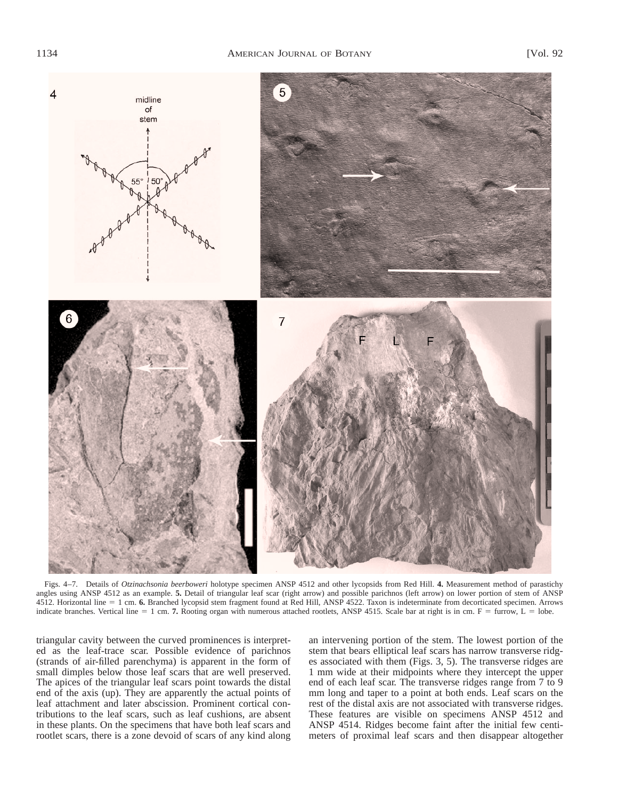

Figs. 4–7. Details of *Otzinachsonia beerboweri* holotype specimen ANSP 4512 and other lycopsids from Red Hill. **4.** Measurement method of parastichy angles using ANSP 4512 as an example. **5.** Detail of triangular leaf scar (right arrow) and possible parichnos (left arrow) on lower portion of stem of ANSP 4512. Horizontal line 5 1 cm. **6.** Branched lycopsid stem fragment found at Red Hill, ANSP 4522. Taxon is indeterminate from decorticated specimen. Arrows indicate branches. Vertical line  $= 1$  cm. **7.** Rooting organ with numerous attached rootlets, ANSP 4515. Scale bar at right is in cm.  $F =$  furrow,  $L =$  lobe.

triangular cavity between the curved prominences is interpreted as the leaf-trace scar. Possible evidence of parichnos (strands of air-filled parenchyma) is apparent in the form of small dimples below those leaf scars that are well preserved. The apices of the triangular leaf scars point towards the distal end of the axis (up). They are apparently the actual points of leaf attachment and later abscission. Prominent cortical contributions to the leaf scars, such as leaf cushions, are absent in these plants. On the specimens that have both leaf scars and rootlet scars, there is a zone devoid of scars of any kind along

an intervening portion of the stem. The lowest portion of the stem that bears elliptical leaf scars has narrow transverse ridges associated with them (Figs. 3, 5). The transverse ridges are 1 mm wide at their midpoints where they intercept the upper end of each leaf scar. The transverse ridges range from 7 to 9 mm long and taper to a point at both ends. Leaf scars on the rest of the distal axis are not associated with transverse ridges. These features are visible on specimens ANSP 4512 and ANSP 4514. Ridges become faint after the initial few centimeters of proximal leaf scars and then disappear altogether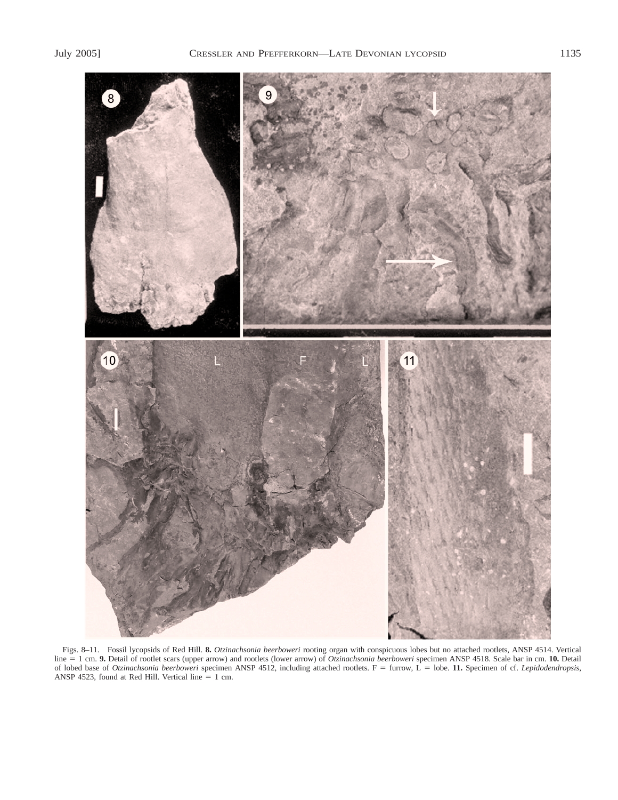

Figs. 8–11. Fossil lycopsids of Red Hill. **8.** *Otzinachsonia beerboweri* rooting organ with conspicuous lobes but no attached rootlets, ANSP 4514. Vertical line 5 1 cm. **9.** Detail of rootlet scars (upper arrow) and rootlets (lower arrow) of *Otzinachsonia beerboweri* specimen ANSP 4518. Scale bar in cm. **10.** Detail of lobed base of *Otzinachsonia beerboweri* specimen ANSP 4512, including attached rootlets. F 5 furrow, L 5 lobe. **11.** Specimen of cf. *Lepidodendropsis*, ANSP 4523, found at Red Hill. Vertical line  $= 1$  cm.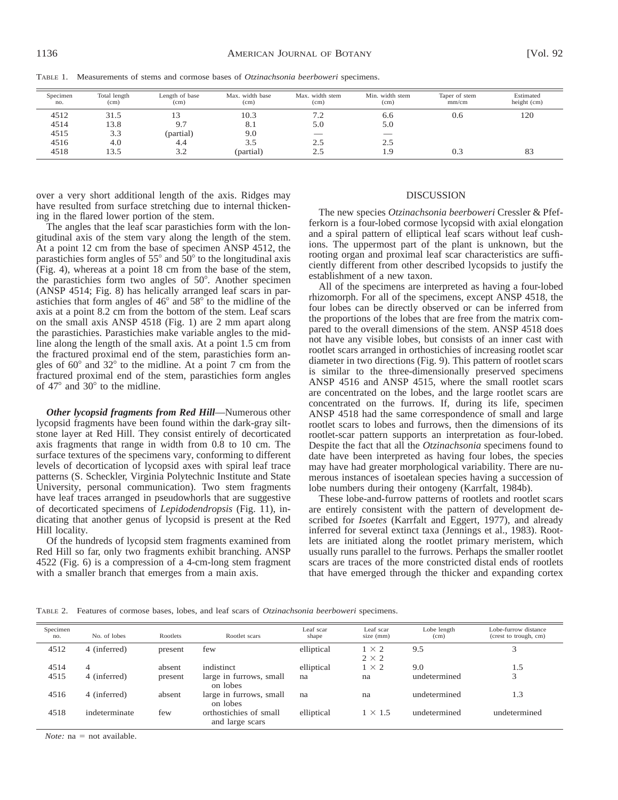TABLE 1. Measurements of stems and cormose bases of *Otzinachsonia beerboweri* specimens.

| Specimen<br>no. | Total length<br>(cm) | Length of base<br>(cm) | Max. width base<br>(cm) | Max. width stem<br>(cm) | Min. width stem<br>(cm) | Taper of stem<br>mm/cm | Estimated<br>height (cm) |
|-----------------|----------------------|------------------------|-------------------------|-------------------------|-------------------------|------------------------|--------------------------|
| 4512            | 31.5                 |                        | 10.3                    | 7.2                     | 6.6                     | 0.6                    | 120                      |
| 4514            | 13.8                 | 9.7                    | 8.1                     | 5.0                     | 5.0                     |                        |                          |
| 4515            | 3.3                  | (partial)              | 9.0                     |                         | ___                     |                        |                          |
| 4516            | 4.0                  | 4.4                    | 3.5                     | 2.5                     | 2.5                     |                        |                          |
| 4518            | 13.5                 | 3.2                    | (partial)               | 2.5                     | 1.9                     | 0.3                    | 83                       |

over a very short additional length of the axis. Ridges may have resulted from surface stretching due to internal thickening in the flared lower portion of the stem.

The angles that the leaf scar parastichies form with the longitudinal axis of the stem vary along the length of the stem. At a point 12 cm from the base of specimen ANSP 4512, the parastichies form angles of  $55^{\circ}$  and  $50^{\circ}$  to the longitudinal axis (Fig. 4), whereas at a point 18 cm from the base of the stem, the parastichies form two angles of  $50^\circ$ . Another specimen (ANSP 4514; Fig. 8) has helically arranged leaf scars in parastichies that form angles of  $46^{\circ}$  and  $58^{\circ}$  to the midline of the axis at a point 8.2 cm from the bottom of the stem. Leaf scars on the small axis ANSP 4518 (Fig. 1) are 2 mm apart along the parastichies. Parastichies make variable angles to the midline along the length of the small axis. At a point 1.5 cm from the fractured proximal end of the stem, parastichies form angles of  $60^{\circ}$  and  $32^{\circ}$  to the midline. At a point 7 cm from the fractured proximal end of the stem, parastichies form angles of  $47^{\circ}$  and  $30^{\circ}$  to the midline.

*Other lycopsid fragments from Red Hill—Numerous other* lycopsid fragments have been found within the dark-gray siltstone layer at Red Hill. They consist entirely of decorticated axis fragments that range in width from 0.8 to 10 cm. The surface textures of the specimens vary, conforming to different levels of decortication of lycopsid axes with spiral leaf trace patterns (S. Scheckler, Virginia Polytechnic Institute and State University, personal communication). Two stem fragments have leaf traces arranged in pseudowhorls that are suggestive of decorticated specimens of *Lepidodendropsis* (Fig. 11), indicating that another genus of lycopsid is present at the Red Hill locality.

Of the hundreds of lycopsid stem fragments examined from Red Hill so far, only two fragments exhibit branching. ANSP 4522 (Fig. 6) is a compression of a 4-cm-long stem fragment with a smaller branch that emerges from a main axis.

#### DISCUSSION

The new species *Otzinachsonia beerboweri* Cressler & Pfefferkorn is a four-lobed cormose lycopsid with axial elongation and a spiral pattern of elliptical leaf scars without leaf cushions. The uppermost part of the plant is unknown, but the rooting organ and proximal leaf scar characteristics are sufficiently different from other described lycopsids to justify the establishment of a new taxon.

All of the specimens are interpreted as having a four-lobed rhizomorph. For all of the specimens, except ANSP 4518, the four lobes can be directly observed or can be inferred from the proportions of the lobes that are free from the matrix compared to the overall dimensions of the stem. ANSP 4518 does not have any visible lobes, but consists of an inner cast with rootlet scars arranged in orthostichies of increasing rootlet scar diameter in two directions (Fig. 9). This pattern of rootlet scars is similar to the three-dimensionally preserved specimens ANSP 4516 and ANSP 4515, where the small rootlet scars are concentrated on the lobes, and the large rootlet scars are concentrated on the furrows. If, during its life, specimen ANSP 4518 had the same correspondence of small and large rootlet scars to lobes and furrows, then the dimensions of its rootlet-scar pattern supports an interpretation as four-lobed. Despite the fact that all the *Otzinachsonia* specimens found to date have been interpreted as having four lobes, the species may have had greater morphological variability. There are numerous instances of isoetalean species having a succession of lobe numbers during their ontogeny (Karrfalt, 1984b).

These lobe-and-furrow patterns of rootlets and rootlet scars are entirely consistent with the pattern of development described for *Isoetes* (Karrfalt and Eggert, 1977), and already inferred for several extinct taxa (Jennings et al., 1983). Rootlets are initiated along the rootlet primary meristem, which usually runs parallel to the furrows. Perhaps the smaller rootlet scars are traces of the more constricted distal ends of rootlets that have emerged through the thicker and expanding cortex

TABLE 2. Features of cormose bases, lobes, and leaf scars of *Otzinachsonia beerboweri* specimens.

| Specimen<br>no. | No. of lobes  | Rootlets | Rootlet scars                             | Leaf scar<br>shape | Leaf scar<br>size (mm)       | Lobe length<br>(cm) | Lobe-furrow distance<br>(crest to trough, cm) |
|-----------------|---------------|----------|-------------------------------------------|--------------------|------------------------------|---------------------|-----------------------------------------------|
| 4512            | 4 (inferred)  | present  | few                                       | elliptical         | $1 \times 2$<br>$2 \times 2$ | 9.5                 | 3                                             |
| 4514            | 4             | absent   | indistinct                                | elliptical         | $1 \times 2$                 | 9.0                 | 1.5                                           |
| 4515            | 4 (inferred)  | present  | large in furrows, small<br>on lobes       | na                 | na                           | undetermined        | 3                                             |
| 4516            | 4 (inferred)  | absent   | large in furrows, small<br>on lobes       | na                 | na                           | undetermined        | 1.3                                           |
| 4518            | indeterminate | few      | orthostichies of small<br>and large scars | elliptical         | $1 \times 1.5$               | undetermined        | undetermined                                  |

*Note:*  $na = not available.$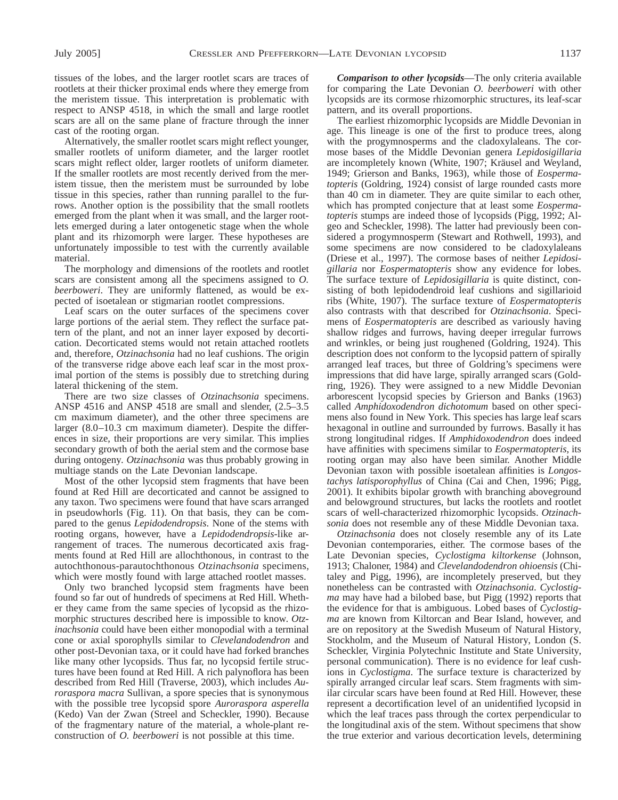tissues of the lobes, and the larger rootlet scars are traces of rootlets at their thicker proximal ends where they emerge from the meristem tissue. This interpretation is problematic with respect to ANSP 4518, in which the small and large rootlet scars are all on the same plane of fracture through the inner cast of the rooting organ.

Alternatively, the smaller rootlet scars might reflect younger, smaller rootlets of uniform diameter, and the larger rootlet scars might reflect older, larger rootlets of uniform diameter. If the smaller rootlets are most recently derived from the meristem tissue, then the meristem must be surrounded by lobe tissue in this species, rather than running parallel to the furrows. Another option is the possibility that the small rootlets emerged from the plant when it was small, and the larger rootlets emerged during a later ontogenetic stage when the whole plant and its rhizomorph were larger. These hypotheses are unfortunately impossible to test with the currently available material.

The morphology and dimensions of the rootlets and rootlet scars are consistent among all the specimens assigned to *O. beerboweri*. They are uniformly flattened, as would be expected of isoetalean or stigmarian rootlet compressions.

Leaf scars on the outer surfaces of the specimens cover large portions of the aerial stem. They reflect the surface pattern of the plant, and not an inner layer exposed by decortication. Decorticated stems would not retain attached rootlets and, therefore, *Otzinachsonia* had no leaf cushions. The origin of the transverse ridge above each leaf scar in the most proximal portion of the stems is possibly due to stretching during lateral thickening of the stem.

There are two size classes of *Otzinachsonia* specimens. ANSP 4516 and ANSP 4518 are small and slender, (2.5–3.5 cm maximum diameter), and the other three specimens are larger (8.0–10.3 cm maximum diameter). Despite the differences in size, their proportions are very similar. This implies secondary growth of both the aerial stem and the cormose base during ontogeny. *Otzinachsonia* was thus probably growing in multiage stands on the Late Devonian landscape.

Most of the other lycopsid stem fragments that have been found at Red Hill are decorticated and cannot be assigned to any taxon. Two specimens were found that have scars arranged in pseudowhorls (Fig. 11). On that basis, they can be compared to the genus *Lepidodendropsis*. None of the stems with rooting organs, however, have a *Lepidodendropsis*-like arrangement of traces. The numerous decorticated axis fragments found at Red Hill are allochthonous, in contrast to the autochthonous-parautochthonous *Otzinachsonia* specimens, which were mostly found with large attached rootlet masses.

Only two branched lycopsid stem fragments have been found so far out of hundreds of specimens at Red Hill. Whether they came from the same species of lycopsid as the rhizomorphic structures described here is impossible to know. *Otzinachsonia* could have been either monopodial with a terminal cone or axial sporophylls similar to *Clevelandodendron* and other post-Devonian taxa, or it could have had forked branches like many other lycopsids. Thus far, no lycopsid fertile structures have been found at Red Hill. A rich palynoflora has been described from Red Hill (Traverse, 2003), which includes *Auroraspora macra* Sullivan, a spore species that is synonymous with the possible tree lycopsid spore *Auroraspora asperella* (Kedo) Van der Zwan (Streel and Scheckler, 1990). Because of the fragmentary nature of the material, a whole-plant reconstruction of *O. beerboweri* is not possible at this time.

*Comparison to other lycopsids*—The only criteria available for comparing the Late Devonian *O. beerboweri* with other lycopsids are its cormose rhizomorphic structures, its leaf-scar pattern, and its overall proportions.

The earliest rhizomorphic lycopsids are Middle Devonian in age. This lineage is one of the first to produce trees, along with the progymnosperms and the cladoxylaleans. The cormose bases of the Middle Devonian genera *Lepidosigillaria* are incompletely known (White, 1907; Kräusel and Weyland, 1949; Grierson and Banks, 1963), while those of *Eospermatopteris* (Goldring, 1924) consist of large rounded casts more than 40 cm in diameter. They are quite similar to each other, which has prompted conjecture that at least some *Eospermatopteris* stumps are indeed those of lycopsids (Pigg, 1992; Algeo and Scheckler, 1998). The latter had previously been considered a progymnosperm (Stewart and Rothwell, 1993), and some specimens are now considered to be cladoxylaleans (Driese et al., 1997). The cormose bases of neither *Lepidosigillaria* nor *Eospermatopteris* show any evidence for lobes. The surface texture of *Lepidosigillaria* is quite distinct, consisting of both lepidodendroid leaf cushions and sigillarioid ribs (White, 1907). The surface texture of *Eospermatopteris* also contrasts with that described for *Otzinachsonia*. Specimens of *Eospermatopteris* are described as variously having shallow ridges and furrows, having deeper irregular furrows and wrinkles, or being just roughened (Goldring, 1924). This description does not conform to the lycopsid pattern of spirally arranged leaf traces, but three of Goldring's specimens were impressions that did have large, spirally arranged scars (Goldring, 1926). They were assigned to a new Middle Devonian arborescent lycopsid species by Grierson and Banks (1963) called *Amphidoxodendron dichotomum* based on other specimens also found in New York. This species has large leaf scars hexagonal in outline and surrounded by furrows. Basally it has strong longitudinal ridges. If *Amphidoxodendron* does indeed have affinities with specimens similar to *Eospermatopteris*, its rooting organ may also have been similar. Another Middle Devonian taxon with possible isoetalean affinities is *Longostachys latisporophyllus* of China (Cai and Chen, 1996; Pigg, 2001). It exhibits bipolar growth with branching aboveground and belowground structures, but lacks the rootlets and rootlet scars of well-characterized rhizomorphic lycopsids. *Otzinachsonia* does not resemble any of these Middle Devonian taxa.

*Otzinachsonia* does not closely resemble any of its Late Devonian contemporaries, either. The cormose bases of the Late Devonian species, *Cyclostigma kiltorkense* (Johnson, 1913; Chaloner, 1984) and *Clevelandodendron ohioensis* (Chitaley and Pigg, 1996), are incompletely preserved, but they nonetheless can be contrasted with *Otzinachsonia*. *Cyclostigma* may have had a bilobed base, but Pigg (1992) reports that the evidence for that is ambiguous. Lobed bases of *Cyclostigma* are known from Kiltorcan and Bear Island, however, and are on repository at the Swedish Museum of Natural History, Stockholm, and the Museum of Natural History, London (S. Scheckler, Virginia Polytechnic Institute and State University, personal communication). There is no evidence for leaf cushions in *Cyclostigma*. The surface texture is characterized by spirally arranged circular leaf scars. Stem fragments with similar circular scars have been found at Red Hill. However, these represent a decortification level of an unidentified lycopsid in which the leaf traces pass through the cortex perpendicular to the longitudinal axis of the stem. Without specimens that show the true exterior and various decortication levels, determining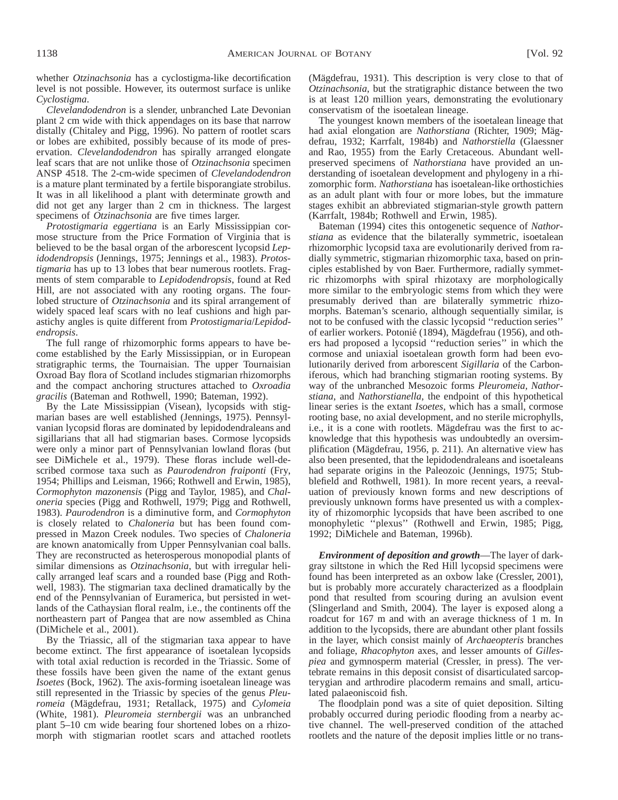whether *Otzinachsonia* has a cyclostigma-like decortification level is not possible. However, its outermost surface is unlike *Cyclostigma*.

*Clevelandodendron* is a slender, unbranched Late Devonian plant 2 cm wide with thick appendages on its base that narrow distally (Chitaley and Pigg, 1996). No pattern of rootlet scars or lobes are exhibited, possibly because of its mode of preservation. *Clevelandodendron* has spirally arranged elongate leaf scars that are not unlike those of *Otzinachsonia* specimen ANSP 4518. The 2-cm-wide specimen of *Clevelandodendron* is a mature plant terminated by a fertile bisporangiate strobilus. It was in all likelihood a plant with determinate growth and did not get any larger than 2 cm in thickness. The largest specimens of *Otzinachsonia* are five times larger.

*Protostigmaria eggertiana* is an Early Mississippian cormose structure from the Price Formation of Virginia that is believed to be the basal organ of the arborescent lycopsid *Lepidodendropsis* (Jennings, 1975; Jennings et al., 1983). *Protostigmaria* has up to 13 lobes that bear numerous rootlets. Fragments of stem comparable to *Lepidodendropsis*, found at Red Hill, are not associated with any rooting organs. The fourlobed structure of *Otzinachsonia* and its spiral arrangement of widely spaced leaf scars with no leaf cushions and high parastichy angles is quite different from *Protostigmaria*/*Lepidodendropsis*.

The full range of rhizomorphic forms appears to have become established by the Early Mississippian, or in European stratigraphic terms, the Tournaisian. The upper Tournaisian Oxroad Bay flora of Scotland includes stigmarian rhizomorphs and the compact anchoring structures attached to *Oxroadia gracilis* (Bateman and Rothwell, 1990; Bateman, 1992).

By the Late Mississippian (Visean), lycopsids with stigmarian bases are well established (Jennings, 1975). Pennsylvanian lycopsid floras are dominated by lepidodendraleans and sigillarians that all had stigmarian bases. Cormose lycopsids were only a minor part of Pennsylvanian lowland floras (but see DiMichele et al., 1979). These floras include well-described cormose taxa such as *Paurodendron fraiponti* (Fry, 1954; Phillips and Leisman, 1966; Rothwell and Erwin, 1985), *Cormophyton mazonensis* (Pigg and Taylor, 1985), and *Chaloneria* species (Pigg and Rothwell, 1979; Pigg and Rothwell, 1983). *Paurodendron* is a diminutive form, and *Cormophyton* is closely related to *Chaloneria* but has been found compressed in Mazon Creek nodules. Two species of *Chaloneria* are known anatomically from Upper Pennsylvanian coal balls. They are reconstructed as heterosperous monopodial plants of similar dimensions as *Otzinachsonia*, but with irregular helically arranged leaf scars and a rounded base (Pigg and Rothwell, 1983). The stigmarian taxa declined dramatically by the end of the Pennsylvanian of Euramerica, but persisted in wetlands of the Cathaysian floral realm, i.e., the continents off the northeastern part of Pangea that are now assembled as China (DiMichele et al., 2001).

By the Triassic, all of the stigmarian taxa appear to have become extinct. The first appearance of isoetalean lycopsids with total axial reduction is recorded in the Triassic. Some of these fossils have been given the name of the extant genus *Isoetes* (Bock, 1962). The axis-forming isoetalean lineage was still represented in the Triassic by species of the genus *Pleuromeia* (Ma¨gdefrau, 1931; Retallack, 1975) and *Cylomeia* (White, 1981). *Pleuromeia sternbergii* was an unbranched plant 5–10 cm wide bearing four shortened lobes on a rhizomorph with stigmarian rootlet scars and attached rootlets

(Mägdefrau, 1931). This description is very close to that of *Otzinachsonia*, but the stratigraphic distance between the two is at least 120 million years, demonstrating the evolutionary conservatism of the isoetalean lineage.

The youngest known members of the isoetalean lineage that had axial elongation are *Nathorstiana* (Richter, 1909; Mägdefrau, 1932; Karrfalt, 1984b) and *Nathorstiella* (Glaessner and Rao, 1955) from the Early Cretaceous. Abundant wellpreserved specimens of *Nathorstiana* have provided an understanding of isoetalean development and phylogeny in a rhizomorphic form. *Nathorstiana* has isoetalean-like orthostichies as an adult plant with four or more lobes, but the immature stages exhibit an abbreviated stigmarian-style growth pattern (Karrfalt, 1984b; Rothwell and Erwin, 1985).

Bateman (1994) cites this ontogenetic sequence of *Nathorstiana* as evidence that the bilaterally symmetric, isoetalean rhizomorphic lycopsid taxa are evolutionarily derived from radially symmetric, stigmarian rhizomorphic taxa, based on principles established by von Baer. Furthermore, radially symmetric rhizomorphs with spiral rhizotaxy are morphologically more similar to the embryologic stems from which they were presumably derived than are bilaterally symmetric rhizomorphs. Bateman's scenario, although sequentially similar, is not to be confused with the classic lycopsid ''reduction series'' of earlier workers. Potonié (1894), Mägdefrau (1956), and others had proposed a lycopsid ''reduction series'' in which the cormose and uniaxial isoetalean growth form had been evolutionarily derived from arborescent *Sigillaria* of the Carboniferous, which had branching stigmarian rooting systems. By way of the unbranched Mesozoic forms *Pleuromeia, Nathorstiana*, and *Nathorstianella*, the endpoint of this hypothetical linear series is the extant *Isoetes*, which has a small, cormose rooting base, no axial development, and no sterile microphylls, i.e., it is a cone with rootlets. Mägdefrau was the first to acknowledge that this hypothesis was undoubtedly an oversimplification (Mägdefrau, 1956, p. 211). An alternative view has also been presented, that the lepidodendraleans and isoetaleans had separate origins in the Paleozoic (Jennings, 1975; Stubblefield and Rothwell, 1981). In more recent years, a reevaluation of previously known forms and new descriptions of previously unknown forms have presented us with a complexity of rhizomorphic lycopsids that have been ascribed to one monophyletic "plexus" (Rothwell and Erwin, 1985; Pigg, 1992; DiMichele and Bateman, 1996b).

*Environment of deposition and growth*—The layer of darkgray siltstone in which the Red Hill lycopsid specimens were found has been interpreted as an oxbow lake (Cressler, 2001), but is probably more accurately characterized as a floodplain pond that resulted from scouring during an avulsion event (Slingerland and Smith, 2004). The layer is exposed along a roadcut for 167 m and with an average thickness of 1 m. In addition to the lycopsids, there are abundant other plant fossils in the layer, which consist mainly of *Archaeopteris* branches and foliage, *Rhacophyton* axes, and lesser amounts of *Gillespiea* and gymnosperm material (Cressler, in press). The vertebrate remains in this deposit consist of disarticulated sarcopterygian and arthrodire placoderm remains and small, articulated palaeoniscoid fish.

The floodplain pond was a site of quiet deposition. Silting probably occurred during periodic flooding from a nearby active channel. The well-preserved condition of the attached rootlets and the nature of the deposit implies little or no trans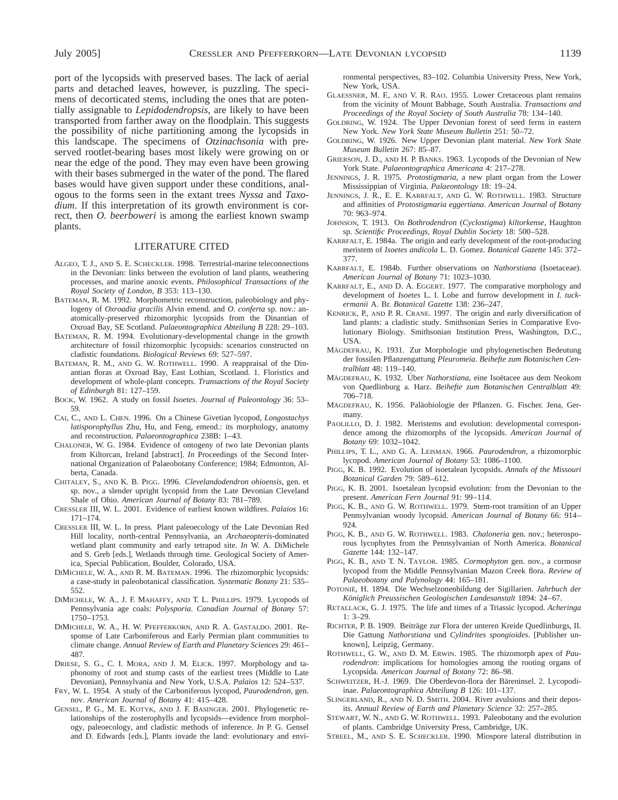port of the lycopsids with preserved bases. The lack of aerial parts and detached leaves, however, is puzzling. The specimens of decorticated stems, including the ones that are potentially assignable to *Lepidodendropsis*, are likely to have been transported from farther away on the floodplain. This suggests the possibility of niche partitioning among the lycopsids in this landscape. The specimens of *Otzinachsonia* with preserved rootlet-bearing bases most likely were growing on or near the edge of the pond. They may even have been growing with their bases submerged in the water of the pond. The flared bases would have given support under these conditions, analogous to the forms seen in the extant trees *Nyssa* and *Taxodium*. If this interpretation of its growth environment is correct, then *O. beerboweri* is among the earliest known swamp plants.

#### LITERATURE CITED

- ALGEO, T. J., AND S. E. SCHECKLER. 1998. Terrestrial-marine teleconnections in the Devonian: links between the evolution of land plants, weathering processes, and marine anoxic events. *Philosophical Transactions of the Royal Society of London, B* 353: 113–130.
- BATEMAN, R. M. 1992. Morphometric reconstruction, paleobiology and phylogeny of *Oxroadia gracilis* Alvin emend. and *O. conferta* sp. nov.: anatomically-preserved rhizomorphic lycopsids from the Dinantian of Oxroad Bay, SE Scotland. *Palaeontographica Abteilung B* 228: 29–103.
- BATEMAN, R. M. 1994. Evolutionary-developmental change in the growth architecture of fossil rhizomorphic lycopsids: scenarios constructed on cladistic foundations. *Biological Reviews* 69: 527–597.
- BATEMAN, R. M., AND G. W. ROTHWELL. 1990. A reappraisal of the Dinantian floras at Oxroad Bay, East Lothian, Scotland. 1. Floristics and development of whole-plant concepts. *Transactions of the Royal Society of Edinburgh* 81: 127–159.
- BOCK, W. 1962. A study on fossil *Isoetes*. *Journal of Paleontology* 36: 53– 59.
- CAI, C., AND L. CHEN. 1996. On a Chinese Givetian lycopod, *Longostachys latisporophyllus* Zhu, Hu, and Feng, emend.: its morphology, anatomy and reconstruction. *Palaeontographica* 238B: 1–43.
- CHALONER, W. G. 1984. Evidence of ontogeny of two late Devonian plants from Kiltorcan, Ireland [abstract]. *In* Proceedings of the Second International Organization of Palaeobotany Conference; 1984; Edmonton, Alberta, Canada.
- CHITALEY, S., AND K. B. PIGG. 1996. *Clevelandodendron ohioensis*, gen. et sp. nov., a slender upright lycopsid from the Late Devonian Cleveland Shale of Ohio. *American Journal of Botany* 83: 781–789.
- CRESSLER III, W. L. 2001. Evidence of earliest known wildfires. *Palaios* 16: 171–174.
- CRESSLER III, W. L. In press. Plant paleoecology of the Late Devonian Red Hill locality, north-central Pennsylvania, an *Archaeopteris*-dominated wetland plant community and early tetrapod site. *In* W. A. DiMichele and S. Greb [eds.], Wetlands through time. Geological Society of America, Special Publication, Boulder, Colorado, USA.
- DIMICHELE, W. A., AND R. M. BATEMAN. 1996. The rhizomorphic lycopsids: a case-study in paleobotanical classification. *Systematic Botany* 21: 535– 552.
- DIMICHELE, W. A., J. F. MAHAFFY, AND T. L. PHILLIPS. 1979. Lycopods of Pennsylvania age coals: *Polysporia*. *Canadian Journal of Botany* 57: 1750–1753.
- DIMICHELE, W. A., H. W. PFEFFERKORN, AND R. A. GASTALDO. 2001. Response of Late Carboniferous and Early Permian plant communities to climate change. *Annual Review of Earth and Planetary Sciences* 29: 461– 487.
- DRIESE, S. G., C. I. MORA, AND J. M. ELICK. 1997. Morphology and taphonomy of root and stump casts of the earliest trees (Middle to Late Devonian), Pennsylvania and New York, U.S.A. *Palaios* 12: 524–537.
- FRY, W. L. 1954. A study of the Carboniferous lycopod, *Paurodendron*, gen. nov. *American Journal of Botany* 41: 415–428.
- GENSEL, P. G., M. E. KOTYK, AND J. F. BASINGER. 2001. Phylogenetic relationships of the zosterophylls and lycopsids—evidence from morphology, paleoecology, and cladistic methods of inference. *In* P. G. Gensel and D. Edwards [eds.], Plants invade the land: evolutionary and envi-

ronmental perspectives, 83–102. Columbia University Press, New York, New York, USA.

- GLAESSNER, M. F., AND V. R. RAO. 1955. Lower Cretaceous plant remains from the vicinity of Mount Babbage, South Australia. *Transactions and Proceedings of the Royal Society of South Australia* 78: 134–140.
- GOLDRING, W. 1924. The Upper Devonian forest of seed ferns in eastern New York. *New York State Museum Bulletin* 251: 50–72.
- GOLDRING, W. 1926. New Upper Devonian plant material. *New York State Museum Bulletin* 267: 85–87.
- GRIERSON, J. D., AND H. P. BANKS. 1963. Lycopods of the Devonian of New York State. *Palaeontographica Americana* 4: 217–278.
- JENNINGS, J. R. 1975. *Protostigmaria*, a new plant organ from the Lower Mississippian of Virginia. *Palaeontology* 18: 19–24.
- JENNINGS, J. R., E. E. KARRFALT, AND G. W. ROTHWELL. 1983. Structure and affinities of *Protostigmaria eggertiana*. *American Journal of Botany* 70: 963–974.
- JOHNSON, T. 1913. On *Bothrodendron* (*Cyclostigma*) *kiltorkense*, Haughton sp. *Scientific Proceedings, Royal Dublin Society* 18: 500–528.
- KARRFALT, E. 1984a. The origin and early development of the root-producing meristem of *Isoetes andicola* L. D. Gomez. *Botanical Gazette* 145: 372– 377.
- KARRFALT, E. 1984b. Further observations on *Nathorstiana* (Isoetaceae). *American Journal of Botany* 71: 1023–1030.
- KARRFALT, E., AND D. A. EGGERT. 1977. The comparative morphology and development of *Isoetes* L. I. Lobe and furrow development in *I. tuckermanii* A. Br. *Botanical Gazette* 138: 236–247.
- KENRICK, P., AND P. R. CRANE. 1997. The origin and early diversification of land plants: a cladistic study. Smithsonian Series in Comparative Evolutionary Biology. Smithsonian Institution Press, Washington, D.C., USA.
- MÄGDEFRAU, K. 1931. Zur Morphologie und phylogenetischen Bedeutung der fossilen Pflanzengattung *Pleuromeia*. *Beihefte zum Botanischen Centralblatt* 48: 119–140.
- MÄGDEFRAU, K. 1932. Über *Nathorstiana*, eine Isoëtacee aus dem Neokom von Quedlinburg a. Harz. *Beihefte zum Botanischen Centralblatt* 49: 706–718.
- MÄGDEFRAU, K. 1956. Paläobiologie der Pflanzen. G. Fischer. Jena, Germany.
- PAOLILLO, D. J. 1982. Meristems and evolution: developmental correspondence among the rhizomorphs of the lycopsids. *American Journal of Botany* 69: 1032–1042.
- PHILLIPS, T. L., AND G. A. LEISMAN. 1966. *Paurodendron*, a rhizomorphic lycopod. *American Journal of Botany* 53: 1086–1100.
- PIGG, K. B. 1992. Evolution of isoetalean lycopsids. *Annals of the Missouri Botanical Garden* 79: 589–612.
- PIGG, K. B. 2001. Isoetalean lycopsid evolution: from the Devonian to the present. *American Fern Journal* 91: 99–114.
- PIGG, K. B., AND G. W. ROTHWELL. 1979. Stem-root transition of an Upper Pennsylvanian woody lycopsid. *American Journal of Botany* 66: 914– 924.
- PIGG, K. B., AND G. W. ROTHWELL. 1983. *Chaloneria* gen. nov.; heterosporous lycophytes from the Pennsylvanian of North America. *Botanical Gazette* 144: 132–147.
- PIGG, K. B., AND T. N. TAYLOR. 1985. *Cormophyton* gen. nov., a cormose lycopod from the Middle Pennsylvanian Mazon Creek flora. *Review of Palaeobotany and Palynology* 44: 165–181.
- POTONIE´, H. 1894. Die Wechselzonenbildung der Sigillarien. *Jahrbuch der Ko¨niglich Preussischen Geologischen Landesanstalt* 1894: 24–67.
- RETALLACK, G. J. 1975. The life and times of a Triassic lycopod. *Acheringa* 1: 3–29.
- RICHTER, P. B. 1909. Beiträge zur Flora der unteren Kreide Quedlinburgs, II. Die Gattung *Nathorstiana* und *Cylindrites spongioides*. [Publisher unknown], Leipzig, Germany.
- ROTHWELL, G. W., AND D. M. ERWIN. 1985. The rhizomorph apex of *Paurodendron*: implications for homologies among the rooting organs of Lycopsida. *American Journal of Botany* 72: 86–98.
- SCHWEITZER, H.-J. 1969. Die Oberdevon-flora der Bäreninsel. 2. Lycopodiinae. *Palaeontographica Abteilung B* 126: 101–137.
- SLINGERLAND, R., AND N. D. SMITH. 2004. River avulsions and their deposits. *Annual Review of Earth and Planetary Science* 32: 257–285.
- STEWART, W. N., AND G. W. ROTHWELL. 1993. Paleobotany and the evolution of plants. Cambridge University Press, Cambridge, UK.
- STREEL, M., AND S. E. SCHECKLER. 1990. Miospore lateral distribution in